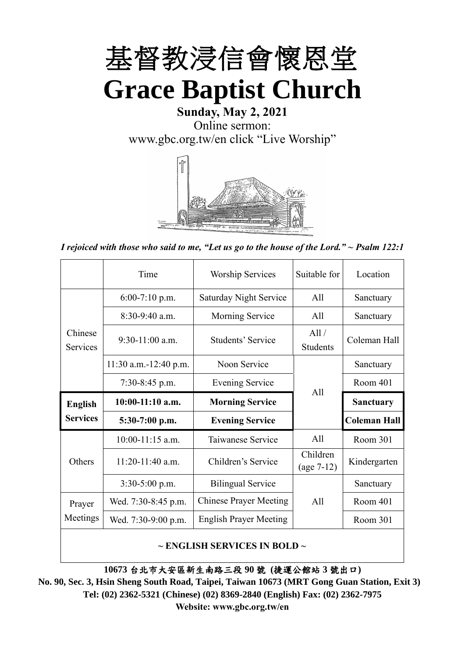

# **Sunday, May 2, 2021** Online sermon: [www.gbc.org.tw/en](http://www.gbc.org.tw/en) click "Live Worship"



*I rejoiced with those who said to me, "Let us go to the house of the Lord." ~ Psalm 122:1*

|                            | Time                  | <b>Worship Services</b>                       | Suitable for             | Location            |  |
|----------------------------|-----------------------|-----------------------------------------------|--------------------------|---------------------|--|
|                            | $6:00-7:10$ p.m.      | <b>Saturday Night Service</b>                 | All                      | Sanctuary           |  |
|                            | 8:30-9:40 a.m.        | <b>Morning Service</b>                        | All                      | Sanctuary           |  |
| Chinese<br><b>Services</b> | $9:30-11:00$ a.m.     | All /<br>Students' Service<br><b>Students</b> |                          | Coleman Hall        |  |
|                            | 11:30 a.m.-12:40 p.m. | Noon Service                                  |                          | Sanctuary           |  |
|                            | $7:30-8:45$ p.m.      | <b>Evening Service</b>                        | All                      | Room 401            |  |
|                            |                       |                                               |                          |                     |  |
| <b>English</b>             | $10:00-11:10$ a.m.    | <b>Morning Service</b>                        |                          | <b>Sanctuary</b>    |  |
| <b>Services</b>            | $5:30-7:00$ p.m.      | <b>Evening Service</b>                        |                          | <b>Coleman Hall</b> |  |
|                            | $10:00-11:15$ a.m.    | Taiwanese Service                             | All                      | Room 301            |  |
| Others                     | $11:20-11:40$ a.m.    | Children's Service                            | Children<br>$(age 7-12)$ | Kindergarten        |  |
|                            | $3:30-5:00$ p.m.      | <b>Bilingual Service</b>                      |                          | Sanctuary           |  |
| Prayer                     | Wed. 7:30-8:45 p.m.   | <b>Chinese Prayer Meeting</b>                 | A11                      | Room 401            |  |
| Meetings                   | Wed. 7:30-9:00 p.m.   | <b>English Prayer Meeting</b>                 |                          | Room 301            |  |

#### **~ ENGLISH SERVICES IN BOLD ~**

**10673** 台北市大安區新生南路三段 **90** 號 **(**捷運公館站 **3** 號出口**)**

**No. 90, Sec. 3, Hsin Sheng South Road, Taipei, Taiwan 10673 (MRT Gong Guan Station, Exit 3) Tel: (02) 2362-5321 (Chinese) (02) 8369-2840 (English) Fax: (02) 2362-7975 Website: www.gbc.org.tw/en**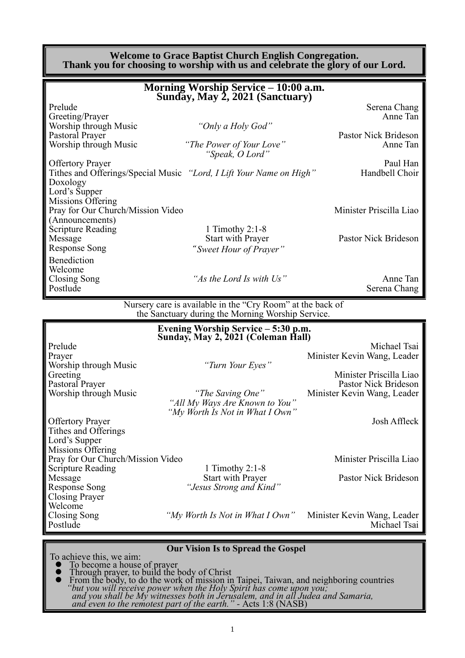#### **Welcome to Grace Baptist Church English Congregation. Thank you for choosing to worship with us and celebrate the glory of our Lord.**

|                                                                         | Morning Worship Service - 10:00 a.m.<br>Sunday, May 2, 2021 (Sanctuary)                                         |                                                 |
|-------------------------------------------------------------------------|-----------------------------------------------------------------------------------------------------------------|-------------------------------------------------|
| Prelude                                                                 |                                                                                                                 | Serena Chang                                    |
| Greeting/Prayer<br>Worship through Music                                | "Only a Holy God"                                                                                               | Anne Tan                                        |
| Pastoral Prayer<br>Worship through Music                                | "The Power of Your Love"<br>"Speak, O Lord"                                                                     | Pastor Nick Brideson<br>Anne Tan                |
| <b>Offertory Prayer</b><br>Doxology                                     | Tithes and Offerings/Special Music "Lord, I Lift Your Name on High"                                             | Paul Han<br>Handbell Choir                      |
| Lord's Supper<br>Missions Offering<br>Pray for Our Church/Mission Video |                                                                                                                 | Minister Priscilla Liao                         |
| (Announcements)                                                         |                                                                                                                 |                                                 |
| <b>Scripture Reading</b><br>Message<br><b>Response Song</b>             | 1 Timothy $2:1-8$<br>Start with Prayer<br>"Sweet Hour of Prayer"                                                | Pastor Nick Brideson                            |
| Benediction<br>Welcome                                                  |                                                                                                                 |                                                 |
| <b>Closing Song</b><br>Postlude                                         | "As the Lord Is with Us"                                                                                        | Anne Tan<br>Serena Chang                        |
|                                                                         | Nursery care is available in the "Cry Room" at the back of<br>the Sanctuary during the Morning Worship Service. |                                                 |
|                                                                         | Evening Worship Service - 5:30 p.m.                                                                             |                                                 |
| Prelude                                                                 | Sunday, May 2, 2021 (Coleman Hall)                                                                              | Michael Tsai                                    |
| Prayer<br>Worship through Music                                         | "Turn Your Eyes"                                                                                                | Minister Kevin Wang, Leader                     |
| Greeting<br>Pastoral Prayer                                             |                                                                                                                 | Minister Priscilla Liao<br>Pastor Nick Brideson |
| Worship through Music                                                   | "The Saving One"<br>"All My Ways Are Known to You"<br>"My Worth Is Not in What I Own"                           | Minister Kevin Wang, Leader                     |
| <b>Offertory Prayer</b><br>Tithes and Offerings                         |                                                                                                                 | Josh Affleck                                    |
| Lord's Supper<br>Missions Offering                                      |                                                                                                                 |                                                 |
| Pray for Our Church/Mission Video<br><b>Scripture Reading</b>           | 1 Timothy 2:1-8                                                                                                 | Minister Priscilla Liao                         |
| Message<br><b>Response Song</b>                                         | <b>Start with Prayer</b><br>"Jesus Strong and Kind"                                                             | Pastor Nick Brideson                            |
| <b>Closing Prayer</b><br>Welcome                                        |                                                                                                                 |                                                 |
| Closing Song<br>Postlude                                                | "My Worth Is Not in What I Own"                                                                                 | Minister Kevin Wang, Leader<br>Michael Tsai     |
|                                                                         | Our Vision Is to Spread the Gospel                                                                              |                                                 |

#### **Our Vision Is to Spread the Gospel**

To achieve this, we aim:

- ⚫ To become a house of prayer ⚫ Through prayer, to build the body of Christ
- ⚫ From the body, to do the work of mission in Taipei, Taiwan, and neighboring countries *"but you will receive power when the Holy Spirit has come upon you; and you shall be My witnesses both in Jerusalem, and in all Judea and Samaria, and even to the remotest part of the earth." -* Acts 1:8 (NASB)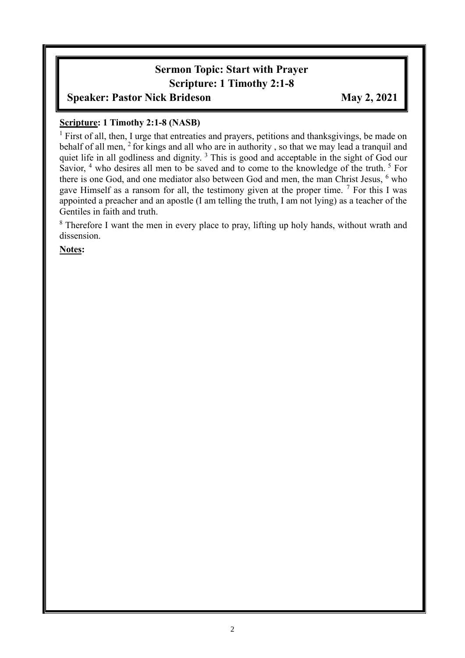# **Sermon Topic: Start with Prayer Scripture: 1 Timothy 2:1-8**

## **Speaker: Pastor Nick Brideson May 2, 2021**

#### **Scripture: 1 Timothy 2:1-8 (NASB)**

<sup>1</sup> First of all, then, I urge that entreaties and prayers, petitions and thanksgivings, be made on behalf of all men, <sup>2</sup> for kings and all who are in authority, so that we may lead a tranquil and quiet life in all godliness and dignity.<sup>3</sup> This is good and acceptable in the sight of God our Savior, <sup>4</sup> who desires all men to be saved and to come to the knowledge of the truth. <sup>5</sup> For there is one God, and one mediator also between God and men, the man Christ Jesus, <sup>6</sup> who gave Himself as a ransom for all, the testimony given at the proper time. <sup>7</sup> For this I was appointed a preacher and an apostle (I am telling the truth, I am not lying) as a teacher of the Gentiles in faith and truth.

<sup>8</sup> Therefore I want the men in every place to pray, lifting up holy hands, without wrath and dissension.

**Notes:**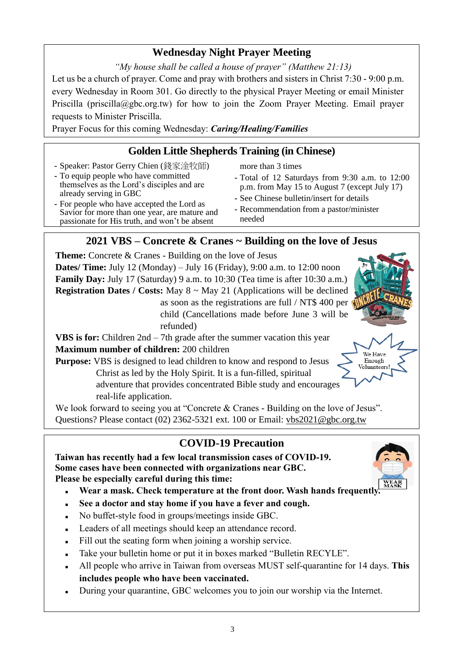## **Wednesday Night Prayer Meeting**

*"My house shall be called a house of prayer" (Matthew 21:13)* Let us be a church of prayer. Come and pray with brothers and sisters in Christ 7:30 - 9:00 p.m. every Wednesday in Room 301. Go directly to the physical Prayer Meeting or email Minister Priscilla (priscilla@gbc.org.tw) for how to join the Zoom Prayer Meeting. Email prayer

requests to Minister Priscilla.

Prayer Focus for this coming Wednesday: *Caring/Healing/Families*

## **Golden Little Shepherds Training (in Chinese)**

- **-** Speaker: Pastor Gerry Chien (錢家淦牧師)
- **-** To equip people who have committed themselves as the Lord's disciples and are

**-** For people who have accepted the Lord as Savior for more than one year, are mature and passionate for His truth, and won't be absent

already serving in GBC

- more than 3 times
- **-** Total of 12 Saturdays from 9:30 a.m. to 12:00 p.m. from May 15 to August 7 (except July 17)
- **-** See Chinese bulletin/insert for details
- **-** Recommendation from a pastor/minister needed

## **2021 VBS – Concrete & Cranes ~ Building on the love of Jesus**

**Theme:** Concrete & Cranes - Building on the love of Jesus **Dates/ Time:** July 12 (Monday) – July 16 (Friday), 9:00 a.m. to 12:00 noon **Family Day:** July 17 (Saturday) 9 a.m. to 10:30 (Tea time is after 10:30 a.m.) **Registration Dates / Costs:** May 8 ~ May 21 (Applications will be declined as soon as the registrations are full / NT\$ 400 per child (Cancellations made before June 3 will be refunded) **VBS is for:** Children 2nd – 7th grade after the summer vacation this year **Maximum number of children:** 200 children We Have **Purpose:** VBS is designed to lead children to know and respond to Jesus Enough Volunnteers Christ as led by the Holy Spirit. It is a fun-filled, spiritual adventure that provides concentrated Bible study and encourages real-life application.

We look forward to seeing you at "Concrete & Cranes - Building on the love of Jesus". Questions? Please contact (02) 2362-5321 ext. 100 or Email: vbs2021@gbc.org.tw

## **COVID-19 Precaution**

**Taiwan has recently had a few local transmission cases of COVID-19. Some cases have been connected with organizations near GBC. Please be especially careful during this time:** 

- 
- Wear a mask. Check temperature at the front door. Wash hands frequently
- See a doctor and stay home if you have a fever and cough.
- No buffet-style food in groups/meetings inside GBC.
- Leaders of all meetings should keep an attendance record.
- Fill out the seating form when joining a worship service.
- Take your bulletin home or put it in boxes marked "Bulletin RECYLE".
- <sup>◼</sup> All people who arrive in Taiwan from overseas MUST self-quarantine for 14 days. **This includes people who have been vaccinated.**
- During your quarantine, GBC welcomes you to join our worship via the Internet.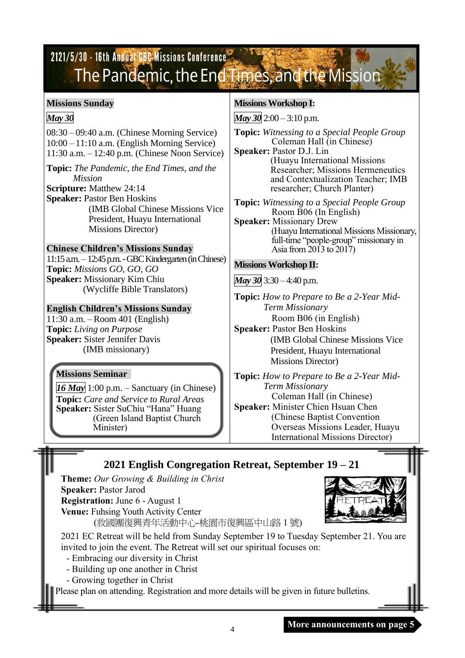# 2121/5/30 - 16th Annual GBC Missions Conference The Pandemic, the End Times, and the Mission

#### **Missions Sunday**

#### *May 30*

08:30 – 09:40 a.m. (Chinese Morning Service) 10:00 – 11:10 a.m. (English Morning Service) 11:30 a.m. – 12:40 p.m. (Chinese Noon Service)

**Topic:** *The Pandemic, the End Times, and the Mission*

**Scripture:** Matthew 24:14

**Speaker:** Pastor Ben Hoskins (IMB Global Chinese Missions Vice President, Huayu International Missions Director)

#### **Chinese Children's Missions Sunday**

11:15 a.m. – 12:45 p.m. -GBC Kindergarten (in Chinese) **Topic:** *Missions GO, GO, GO* **Speaker:** Missionary Kim Chiu (Wycliffe Bible Translators)

#### **English Children's Missions Sunday**

11:30 a.m. – Room 401 (English) **Topic:** *Living on Purpose* **Speaker:** Sister Jennifer Davis (IMB missionary)

## **Missions Seminar**

*16 May* 1:00 p.m. – Sanctuary (in Chinese) **Topic:** *Care and Service to Rural Areas* **Speaker:** Sister SuChiu "Hana" Huang (Green Island Baptist Church Minister)

#### **Missions Workshop I:**

*May 30* 2:00 – 3:10 p.m.

**Topic:** *Witnessing to a Special People Group* Coleman Hall (in Chinese)

**Speaker:** Pastor D.J. Lin (Huayu International Missions Researcher; Missions Hermeneutics and Contextualization Teacher; IMB researcher; Church Planter)

**Topic:** *Witnessing to a Special People Group* Room B06 (In English)

**Speaker:** Missionary Drew (Huayu International Missions Missionary, full-time "people-group" missionary in Asia from 2013 to 2017)

#### **Missions Workshop II:**

*May 30* 3:30 – 4:40 p.m.

**Topic:** *How to Prepare to Be a 2-Year Mid-Term Missionary* Room B06 (in English) **Speaker:** Pastor Ben Hoskins

(IMB Global Chinese Missions Vice President, Huayu International Missions Director)

**Topic:** *How to Prepare to Be a 2-Year Mid-Term Missionary* Coleman Hall (in Chinese) **Speaker:** Minister Chien Hsuan Chen (Chinese Baptist Convention Overseas Missions Leader, Huayu International Missions Director)

## **2021 English Congregation Retreat, September 19 – 21**

**Theme:** *Our Growing & Building in Christ*  **Speaker:** Pastor Jarod **Registration:** June 6 - August 1 **Venue:** Fuhsing Youth Activity Center (救國團復興青年活動中心-桃園市復興區中山路 1 號)



2021 EC Retreat will be held from Sunday September 19 to Tuesday September 21. You are invited to join the event. The Retreat will set our spiritual focuses on:

- Embracing our diversity in Christ
- Building up one another in Christ
- Growing together in Christ

Please plan on attending. Registration and more details will be given in future bulletins.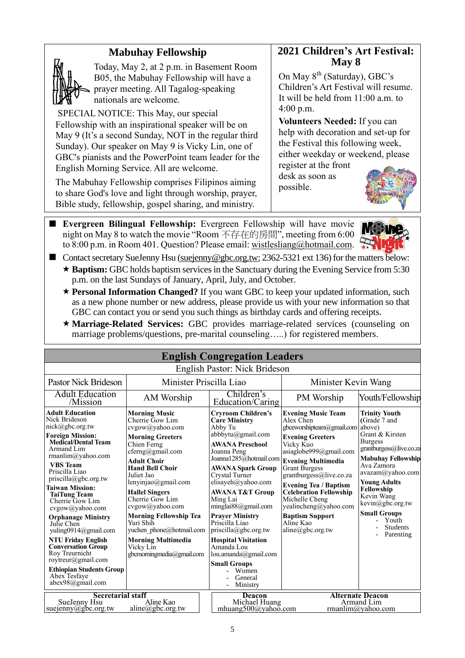## **Mabuhay Fellowship**



Today, May 2, at 2 p.m. in Basement Room B05, the Mabuhay Fellowship will have a prayer meeting. All Tagalog-speaking nationals are welcome.

SPECIAL NOTICE: This May, our special Fellowship with an inspirational speaker will be on May 9 (It's a second Sunday, NOT in the regular third Sunday). Our speaker on May 9 is Vicky Lin, one of GBC's pianists and the PowerPoint team leader for the English Morning Service. All are welcome.

The Mabuhay Fellowship comprises Filipinos aiming to share God's love and light through worship, prayer, Bible study, fellowship, gospel sharing, and ministry.

### **2021 Children's Art Festival: May 8**

On May 8<sup>th</sup> (Saturday), GBC's Children's Art Festival will resume. It will be held from 11:00 a.m. to 4:00 p.m.

**Volunteers Needed:** If you can help with decoration and set-up for the Festival this following week, either weekday or weekend, please

register at the front desk as soon as possible.



■ Evergreen Bilingual Fellowship: Evergreen Fellowship will have movie night on May 8 to watch the movie "Room 不存在的房間", meeting from 6:00 to 8:00 p.m. in Room 401. Question? Please email: [wistlesliang@hotmail.com.](mailto:wistlesliang@hotmail.com)



- Contact secretary SueJenny Hsu [\(suejenny@gbc.org.tw;](mailto:suejenny@gbc.org.tw) 2362-5321 ext 136) for the matters below: ★ **Baptism:** GBC holds baptism services in the Sanctuary during the Evening Service from 5:30 p.m. on the last Sundays of January, April, July, and October.
	- ★ **Personal Information Changed?** If you want GBC to keep your updated information, such as a new phone number or new address, please provide us with your new information so that GBC can contact you or send you such things as birthday cards and offering receipts.
	- **Marriage-Related Services:** GBC provides marriage-related services (counseling on marriage problems/questions, pre-marital counseling…..) for registered members.

| <b>English Congregation Leaders</b>                                                                                                                                                                                                                                                                                                                                                                                                                                                                                                                                |                                                                                                                                                                                                                                                                                                                                                                                                                               |                                                                                                                                                                                                                                                                                                                                                                                                                                                                                          |                                                                                                                                                                                                                                                                                                                                                                                                     |                                                                                                                                                                                                                                                                                                     |
|--------------------------------------------------------------------------------------------------------------------------------------------------------------------------------------------------------------------------------------------------------------------------------------------------------------------------------------------------------------------------------------------------------------------------------------------------------------------------------------------------------------------------------------------------------------------|-------------------------------------------------------------------------------------------------------------------------------------------------------------------------------------------------------------------------------------------------------------------------------------------------------------------------------------------------------------------------------------------------------------------------------|------------------------------------------------------------------------------------------------------------------------------------------------------------------------------------------------------------------------------------------------------------------------------------------------------------------------------------------------------------------------------------------------------------------------------------------------------------------------------------------|-----------------------------------------------------------------------------------------------------------------------------------------------------------------------------------------------------------------------------------------------------------------------------------------------------------------------------------------------------------------------------------------------------|-----------------------------------------------------------------------------------------------------------------------------------------------------------------------------------------------------------------------------------------------------------------------------------------------------|
|                                                                                                                                                                                                                                                                                                                                                                                                                                                                                                                                                                    |                                                                                                                                                                                                                                                                                                                                                                                                                               | English Pastor: Nick Brideson                                                                                                                                                                                                                                                                                                                                                                                                                                                            |                                                                                                                                                                                                                                                                                                                                                                                                     |                                                                                                                                                                                                                                                                                                     |
| Minister Priscilla Liao<br>Pastor Nick Brideson                                                                                                                                                                                                                                                                                                                                                                                                                                                                                                                    |                                                                                                                                                                                                                                                                                                                                                                                                                               |                                                                                                                                                                                                                                                                                                                                                                                                                                                                                          | Minister Kevin Wang                                                                                                                                                                                                                                                                                                                                                                                 |                                                                                                                                                                                                                                                                                                     |
| <b>Adult Education</b><br>/Mission                                                                                                                                                                                                                                                                                                                                                                                                                                                                                                                                 | AM Worship                                                                                                                                                                                                                                                                                                                                                                                                                    | Children's<br>Education/Caring                                                                                                                                                                                                                                                                                                                                                                                                                                                           | PM Worship                                                                                                                                                                                                                                                                                                                                                                                          | Youth/Fellowship                                                                                                                                                                                                                                                                                    |
| <b>Adult Education</b><br>Nick Brideson<br>nick@gbc.org.tw<br><b>Foreign Mission:</b><br><b>Medical/Dental Team</b><br>Armand Lim<br>rmanlim@yahoo.com<br><b>VBS</b> Team<br>Priscilla Liao<br>$priscilla(\partial gbc.org.tw)$<br><b>Taiwan Mission:</b><br><b>TaiTung Team</b><br>Cherrie Gow Lim<br>cvgow@yahoo.com<br><b>Orphanage Ministry</b><br>Julie Chen<br>yuling0914@gmail.com<br><b>NTU Friday English</b><br><b>Conversation Group</b><br>Roy Treurnicht<br>roytreur@gmail.com<br><b>Ethiopian Students Group</b><br>Abex Tesfave<br>abex98@gmail.com | <b>Morning Music</b><br>Cherrie Gow Lim<br>cvgow@yahoo.com<br><b>Morning Greeters</b><br>Chien Ferng<br>cferng@gmail.com<br><b>Adult Choir</b><br><b>Hand Bell Choir</b><br>Juliet Jao<br>lenyinjao@gmail.com<br><b>Hallel Singers</b><br>Cherrie Gow Lim<br>cvgow@yahoo.com<br><b>Morning Fellowship Tea</b><br>Yuri Shih<br>yuchen phone@hotmail.com<br><b>Morning Multimedia</b><br>Vicky Lin<br>gbcmorningmedia@gmail.com | <b>Cryroom Children's</b><br><b>Care Ministry</b><br>Abby Tu<br>abbbytu@gmail.com<br><b>AWANA Preschool</b><br>Joanna Peng<br>Joanna1285@hotmail.com<br><b>AWANA Spark Group</b><br>Crystal Turner<br>elisayeh@yahoo.com<br><b>AWANA T&amp;T Group</b><br>Ming Lai<br>minglai88@gmail.com<br><b>Prayer Ministry</b><br>Priscilla Liao<br>priscilla@gbc.org.tw<br><b>Hospital Visitation</b><br>Amanda Lou<br>lou.amanda@gmail.com<br><b>Small Groups</b><br>Women<br>General<br>Ministry | <b>Evening Music Team</b><br>Alex Chen<br>gbceworshipteam@gmail.com above)<br><b>Evening Greeters</b><br>Vicky Kuo<br>asiaglobe999@gmail.com<br><b>Evening Multimedia</b><br><b>Grant Burgess</b><br>grantburgess@live.co.za<br><b>Evening Tea / Baptism</b><br><b>Celebration Fellowship</b><br>Michelle Cheng<br>yealincheng@yahoo.com<br><b>Baptism Support</b><br>Aline Kao<br>aline@gbc.org.tw | <b>Trinity Youth</b><br>(Grade 7 and<br>Grant & Kirsten<br><b>Burgess</b><br>grantburgess@live.co.za<br><b>Mabuhay Fellowship</b><br>Ava Zamora<br>avazam@yahoo.com<br><b>Young Adults</b><br>Fellowship<br>Kevin Wang<br>kevin@gbc.org.tw<br><b>Small Groups</b><br>Youth<br>Students<br>Parenting |
| <b>Secretarial staff</b><br>Aline Kao<br>SueJenny Hsu<br>suejenny@gbc.org.tw<br>aline@gbc.org.tw                                                                                                                                                                                                                                                                                                                                                                                                                                                                   |                                                                                                                                                                                                                                                                                                                                                                                                                               | <b>Deacon</b><br>Michael Huang<br>mhuang500@yahoo.com                                                                                                                                                                                                                                                                                                                                                                                                                                    |                                                                                                                                                                                                                                                                                                                                                                                                     | <b>Alternate Deacon</b><br>Armand Lim<br>rmanlim@yahoo.com                                                                                                                                                                                                                                          |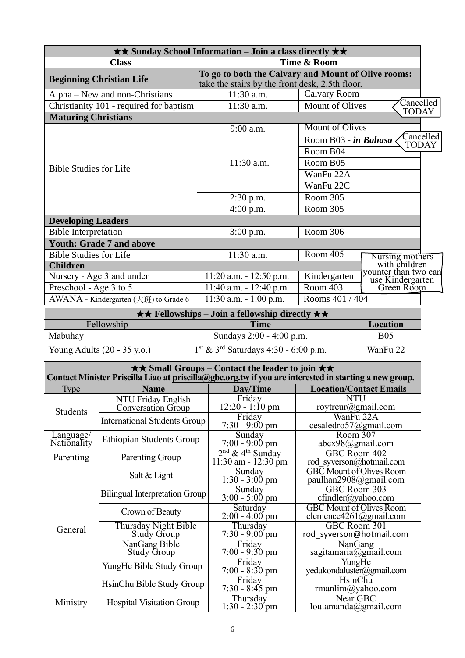| $\star\star$ Sunday School Information – Join a class directly $\star\star$ |                                                                                                        |                                                   |  |
|-----------------------------------------------------------------------------|--------------------------------------------------------------------------------------------------------|---------------------------------------------------|--|
| <b>Class</b>                                                                | Time & Room                                                                                            |                                                   |  |
| <b>Beginning Christian Life</b>                                             | To go to both the Calvary and Mount of Olive rooms:<br>take the stairs by the front desk, 2.5th floor. |                                                   |  |
| Alpha – New and non-Christians                                              | 11:30 a.m.                                                                                             | Calvary Room                                      |  |
| Christianity 101 - required for baptism                                     | 11:30 a.m.                                                                                             | Cancelled<br>Mount of Olives<br><b>TODAY</b>      |  |
| <b>Maturing Christians</b>                                                  |                                                                                                        |                                                   |  |
|                                                                             | 9:00 a.m.                                                                                              | <b>Mount of Olives</b>                            |  |
|                                                                             |                                                                                                        | Cancelled<br>Room B03 - in Bahasa<br><b>TODAY</b> |  |
|                                                                             |                                                                                                        | Room B04                                          |  |
|                                                                             | 11:30 a.m.                                                                                             | Room B05                                          |  |
| <b>Bible Studies for Life</b>                                               |                                                                                                        | WanFu 22A                                         |  |
|                                                                             |                                                                                                        | WanFu 22C                                         |  |
|                                                                             | $2:30$ p.m.                                                                                            | Room 305                                          |  |
|                                                                             | $4:00$ p.m.                                                                                            | Room 305                                          |  |
| <b>Developing Leaders</b>                                                   |                                                                                                        |                                                   |  |
| <b>Bible Interpretation</b>                                                 | $3:00$ p.m.                                                                                            | Room 306                                          |  |
| <b>Youth: Grade 7 and above</b>                                             |                                                                                                        |                                                   |  |
| <b>Bible Studies for Life</b>                                               | 11:30 a.m.                                                                                             | Room 405                                          |  |
| <b>Children</b>                                                             |                                                                                                        | Nursing mothers<br>with children                  |  |
| Nursery - Age 3 and under                                                   | $11:20$ a.m. $-12:50$ p.m.                                                                             | younter than two can<br>Kindergarten              |  |
| Preschool - Age 3 to 5                                                      | $11:40$ a.m. $-12:40$ p.m.                                                                             | use Kindergarten<br>Green Room<br>Room 403        |  |
| AWANA - Kindergarten (大班) to Grade 6                                        | $11:30$ a.m. $-1:00$ p.m.                                                                              | Rooms 401 / 404                                   |  |
| $\star \star$ Fellowships – Join a fellowship directly $\star \star$        |                                                                                                        |                                                   |  |

| $\star \star$ renowsings – Join a renowsing directly $\star \star$ |                                                    |            |  |
|--------------------------------------------------------------------|----------------------------------------------------|------------|--|
| Fellowship                                                         | <b>Time</b>                                        | Location   |  |
| Mabuhay                                                            | Sundays 2:00 - 4:00 p.m.                           | <b>B05</b> |  |
| Young Adults $(20 - 35 \text{ y.o.})$                              | $1st$ & 3 <sup>rd</sup> Saturdays 4:30 - 6:00 p.m. | WanFu 22   |  |

| $\star\star$ Small Groups – Contact the leader to join $\star\star$<br>Contact Minister Priscilla Liao at priscilla@gbc.org.tw if you are interested in starting a new group. |                                            |                                                       |                                                           |
|-------------------------------------------------------------------------------------------------------------------------------------------------------------------------------|--------------------------------------------|-------------------------------------------------------|-----------------------------------------------------------|
| Type                                                                                                                                                                          | <b>Name</b>                                | Day/Time                                              | <b>Location/Contact Emails</b>                            |
| <b>Students</b>                                                                                                                                                               | NTU Friday English<br>Conversation Group   | Friday<br>$12:20 - 1:10 \text{ pm}$                   | <b>NTU</b><br>roytreur@gmail.com                          |
|                                                                                                                                                                               | <b>International Students Group</b>        | Friday<br>$7:30 - 9:00$ pm                            | WanFu 22A<br>cesaledro57@gmail.com                        |
| Language/<br>Nationality                                                                                                                                                      | <b>Ethiopian Students Group</b>            | Sunday<br>$7:00 - 9:00$ pm                            | Room 307<br>abex98@gmail.com                              |
| Parenting                                                                                                                                                                     | Parenting Group                            | $2nd$ & 4 <sup>th</sup> Sunday<br>11:30 am - 12:30 pm | GBC Room 402<br>rod_syverson@hotmail.com                  |
|                                                                                                                                                                               | Salt & Light                               | Sunday<br>$1:30 - 3:00 \text{ pm}$                    | <b>GBC</b> Mount of Olives Room<br>paulhan2908@gmail.com  |
|                                                                                                                                                                               | <b>Bilingual Interpretation Group</b>      | Sunday<br>$3:00 - 5:00$ pm                            | GBC Room 303<br>$cfindler(a)$ yahoo.com                   |
|                                                                                                                                                                               | Crown of Beauty                            | Saturday<br>$2:00 - 4:00$ pm                          | <b>GBC Mount of Olives Room</b><br>clemence4261@gmail.com |
| General                                                                                                                                                                       | Thursday Night Bible<br><b>Study Group</b> | Thursday<br>$7:30 - 9:00$ pm                          | GBC Room 301<br>rod syverson@hotmail.com                  |
|                                                                                                                                                                               | NanGang Bible<br><b>Study Group</b>        | Friday<br>$7:00 - 9:30$ pm                            | NanGang<br>sagitamaria@gmail.com                          |
|                                                                                                                                                                               | YungHe Bible Study Group                   | Friday<br>$7:00 - 8:30$ pm                            | YungHe<br>yedukondaluster@gmail.com                       |
|                                                                                                                                                                               | HsinChu Bible Study Group                  | Friday<br>$7:30 - 8:45$ pm                            | <b>HsinChu</b><br>rmanlim@yahoo.com                       |
| Ministry                                                                                                                                                                      | <b>Hospital Visitation Group</b>           | Thursday<br>$1:30 - 2:30$ pm                          | Near GBC<br>lou.amanda@gmail.com                          |